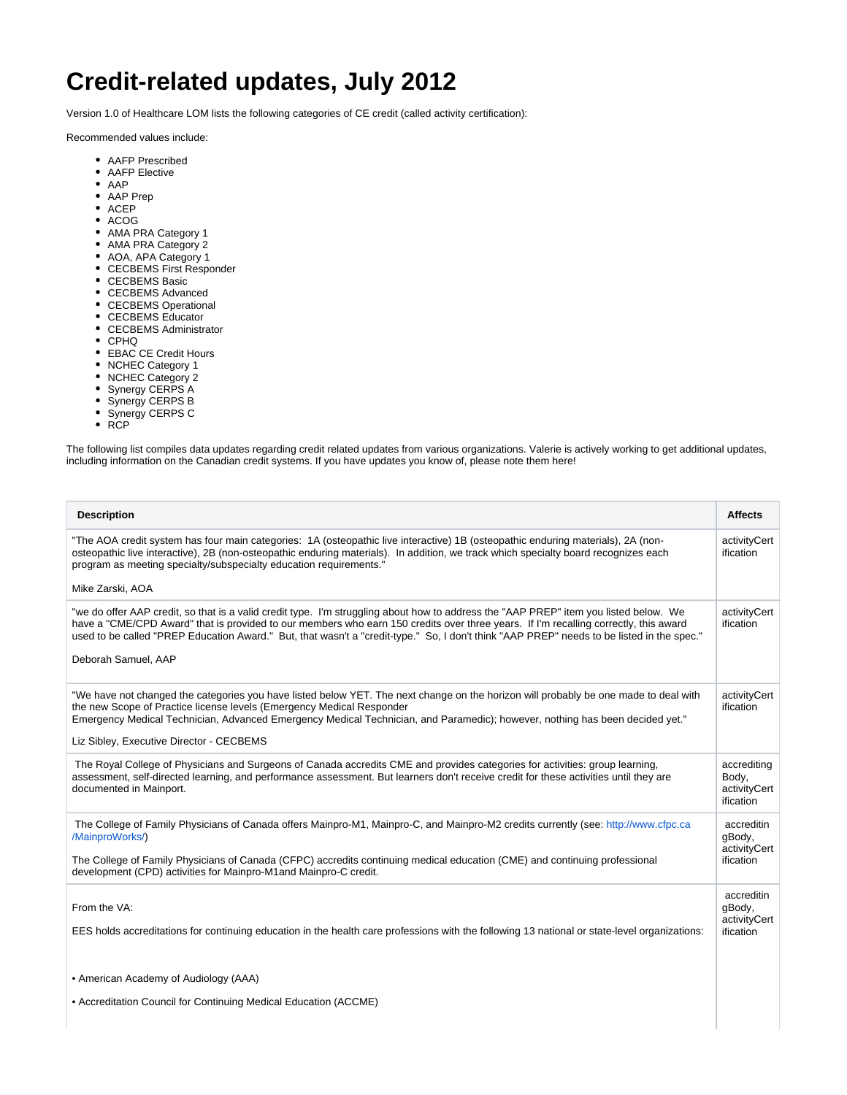## **Credit-related updates, July 2012**

Version 1.0 of Healthcare LOM lists the following categories of CE credit (called activity certification):

Recommended values include:

- AAFP Prescribed
- AAFP Elective
- AAP
- AAP Prep
- ACEP
- ACOG
- AMA PRA Category 1
- AMA PRA Category 2
- AOA, APA Category 1
- CECBEMS First Responder
- CECBEMS Basic
- CECBEMS Advanced
- CECBEMS Operational
- CECBEMS Educator
- CECBEMS Administrator
- CPHQ
- EBAC CE Credit Hours
- NCHEC Category 1
- NCHEC Category 2
- Synergy CERPS A
- Synergy CERPS B
- Synergy CERPS C
- $\cdot$  RCP

The following list compiles data updates regarding credit related updates from various organizations. Valerie is actively working to get additional updates, including information on the Canadian credit systems. If you have updates you know of, please note them here!

| <b>Description</b>                                                                                                                                                                                                                                                                                                                                                                                                                                | <b>Affects</b>                                    |
|---------------------------------------------------------------------------------------------------------------------------------------------------------------------------------------------------------------------------------------------------------------------------------------------------------------------------------------------------------------------------------------------------------------------------------------------------|---------------------------------------------------|
| "The AOA credit system has four main categories: 1A (osteopathic live interactive) 1B (osteopathic enduring materials), 2A (non-<br>osteopathic live interactive), 2B (non-osteopathic enduring materials). In addition, we track which specialty board recognizes each<br>program as meeting specialty/subspecialty education requirements."                                                                                                     | activityCert<br>ification                         |
| Mike Zarski, AOA                                                                                                                                                                                                                                                                                                                                                                                                                                  |                                                   |
| "we do offer AAP credit, so that is a valid credit type. I'm struggling about how to address the "AAP PREP" item you listed below. We<br>have a "CME/CPD Award" that is provided to our members who earn 150 credits over three years. If I'm recalling correctly, this award<br>used to be called "PREP Education Award." But, that wasn't a "credit-type." So, I don't think "AAP PREP" needs to be listed in the spec."<br>Deborah Samuel, AAP | activityCert<br>ification                         |
| "We have not changed the categories you have listed below YET. The next change on the horizon will probably be one made to deal with<br>the new Scope of Practice license levels (Emergency Medical Responder<br>Emergency Medical Technician, Advanced Emergency Medical Technician, and Paramedic); however, nothing has been decided yet."                                                                                                     | activityCert<br>ification                         |
| Liz Sibley, Executive Director - CECBEMS                                                                                                                                                                                                                                                                                                                                                                                                          |                                                   |
| The Royal College of Physicians and Surgeons of Canada accredits CME and provides categories for activities: group learning,<br>assessment, self-directed learning, and performance assessment. But learners don't receive credit for these activities until they are<br>documented in Mainport.                                                                                                                                                  | accrediting<br>Body,<br>activityCert<br>ification |
| The College of Family Physicians of Canada offers Mainpro-M1, Mainpro-C, and Mainpro-M2 credits currently (see: http://www.cfpc.ca<br>/MainproWorks/)<br>The College of Family Physicians of Canada (CFPC) accredits continuing medical education (CME) and continuing professional                                                                                                                                                               | accreditin<br>qBody,<br>activityCert<br>ification |
| development (CPD) activities for Mainpro-M1and Mainpro-C credit.                                                                                                                                                                                                                                                                                                                                                                                  |                                                   |
| From the VA:                                                                                                                                                                                                                                                                                                                                                                                                                                      | accreditin<br>qBody,<br>activityCert              |
| EES holds accreditations for continuing education in the health care professions with the following 13 national or state-level organizations:                                                                                                                                                                                                                                                                                                     | ification                                         |
| • American Academy of Audiology (AAA)                                                                                                                                                                                                                                                                                                                                                                                                             |                                                   |
| • Accreditation Council for Continuing Medical Education (ACCME)                                                                                                                                                                                                                                                                                                                                                                                  |                                                   |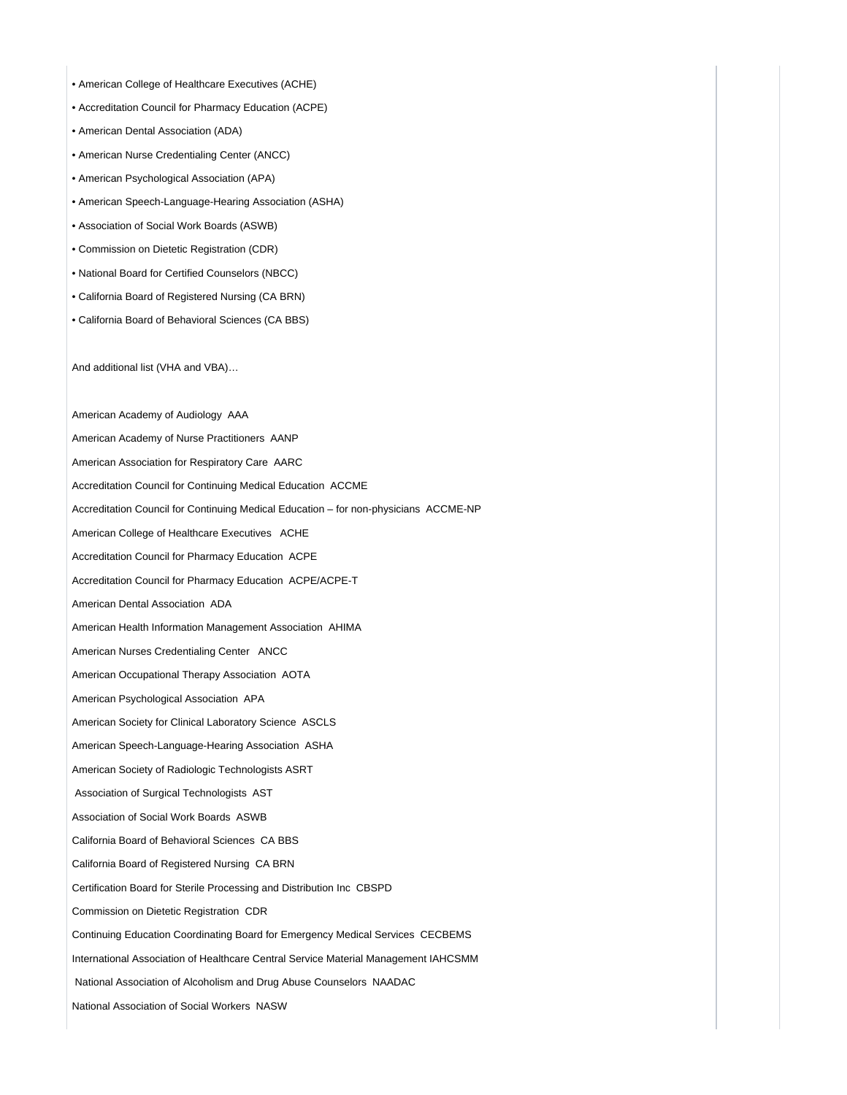- American College of Healthcare Executives (ACHE)
- Accreditation Council for Pharmacy Education (ACPE)
- American Dental Association (ADA)
- American Nurse Credentialing Center (ANCC)
- American Psychological Association (APA)
- American Speech-Language-Hearing Association (ASHA)
- Association of Social Work Boards (ASWB)
- Commission on Dietetic Registration (CDR)
- National Board for Certified Counselors (NBCC)
- California Board of Registered Nursing (CA BRN)
- California Board of Behavioral Sciences (CA BBS)

And additional list (VHA and VBA)…

American Academy of Audiology AAA

American Academy of Nurse Practitioners AANP

- American Association for Respiratory Care AARC
- Accreditation Council for Continuing Medical Education ACCME
- Accreditation Council for Continuing Medical Education for non-physicians ACCME-NP
- American College of Healthcare Executives ACHE
- Accreditation Council for Pharmacy Education ACPE
- Accreditation Council for Pharmacy Education ACPE/ACPE-T
- American Dental Association ADA
- American Health Information Management Association AHIMA
- American Nurses Credentialing Center ANCC
- American Occupational Therapy Association AOTA
- American Psychological Association APA
- American Society for Clinical Laboratory Science ASCLS
- American Speech-Language-Hearing Association ASHA
- American Society of Radiologic Technologists ASRT
- Association of Surgical Technologists AST
- Association of Social Work Boards ASWB
- California Board of Behavioral Sciences CA BBS
- California Board of Registered Nursing CA BRN
- Certification Board for Sterile Processing and Distribution Inc CBSPD
- Commission on Dietetic Registration CDR
- Continuing Education Coordinating Board for Emergency Medical Services CECBEMS
- International Association of Healthcare Central Service Material Management IAHCSMM
- National Association of Alcoholism and Drug Abuse Counselors NAADAC
- National Association of Social Workers NASW